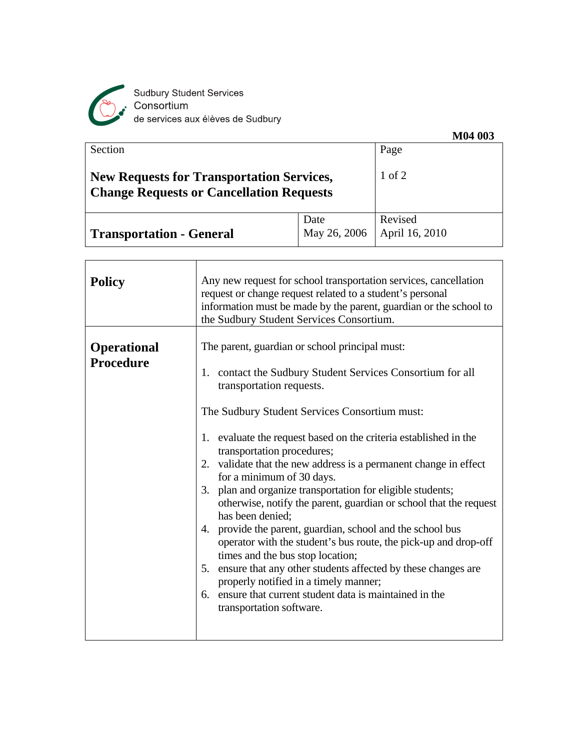

Sudbury Student Services<br>Consortium<br>de services aux élèves de Sudbury

| Section                                                                                             |              | 11101000<br>Page |
|-----------------------------------------------------------------------------------------------------|--------------|------------------|
| <b>New Requests for Transportation Services,</b><br><b>Change Requests or Cancellation Requests</b> |              | $1$ of $2$       |
|                                                                                                     | Date         | Revised          |
| <b>Transportation - General</b>                                                                     | May 26, 2006 | April 16, 2010   |

| <b>Policy</b>                   | Any new request for school transportation services, cancellation<br>request or change request related to a student's personal<br>information must be made by the parent, guardian or the school to<br>the Sudbury Student Services Consortium.                                                                                                                                                                                                                                                                                                                                                                                                                                                                                                                                                                                                                                                                                  |
|---------------------------------|---------------------------------------------------------------------------------------------------------------------------------------------------------------------------------------------------------------------------------------------------------------------------------------------------------------------------------------------------------------------------------------------------------------------------------------------------------------------------------------------------------------------------------------------------------------------------------------------------------------------------------------------------------------------------------------------------------------------------------------------------------------------------------------------------------------------------------------------------------------------------------------------------------------------------------|
| <b>Operational</b><br>Procedure | The parent, guardian or school principal must:<br>1. contact the Sudbury Student Services Consortium for all<br>transportation requests.<br>The Sudbury Student Services Consortium must:<br>1. evaluate the request based on the criteria established in the<br>transportation procedures;<br>2. validate that the new address is a permanent change in effect<br>for a minimum of 30 days.<br>3. plan and organize transportation for eligible students;<br>otherwise, notify the parent, guardian or school that the request<br>has been denied;<br>4. provide the parent, guardian, school and the school bus<br>operator with the student's bus route, the pick-up and drop-off<br>times and the bus stop location;<br>ensure that any other students affected by these changes are<br>5.<br>properly notified in a timely manner;<br>6. ensure that current student data is maintained in the<br>transportation software. |